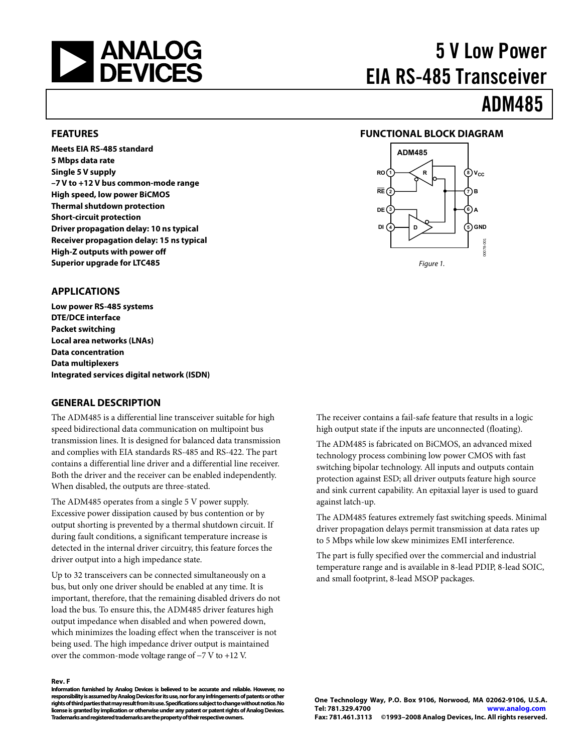<span id="page-0-0"></span>

# 5 V Low Power EIA RS-485 Transceiver

# ADM485

#### **FEATURES**

**Meets EIA RS-485 standard 5 Mbps data rate Single 5 V supply –7 V to +12 V bus common-mode range High speed, low power BiCMOS Thermal shutdown protection Short-circuit protection Driver propagation delay: 10 ns typical Receiver propagation delay: 15 ns typical High-Z outputs with power off Superior upgrade for LTC485** 

#### **FUNCTIONAL BLOCK DIAGRAM**



#### **APPLICATIONS**

**Low power RS-485 systems DTE/DCE interface Packet switching Local area networks (LNAs) Data concentration Data multiplexers Integrated services digital network (ISDN)** 

#### **GENERAL DESCRIPTION**

The ADM485 is a differential line transceiver suitable for high speed bidirectional data communication on multipoint bus transmission lines. It is designed for balanced data transmission and complies with EIA standards RS-485 and RS-422. The part contains a differential line driver and a differential line receiver. Both the driver and the receiver can be enabled independently. When disabled, the outputs are three-stated.

The ADM485 operates from a single 5 V power supply. Excessive power dissipation caused by bus contention or by output shorting is prevented by a thermal shutdown circuit. If during fault conditions, a significant temperature increase is detected in the internal driver circuitry, this feature forces the driver output into a high impedance state.

Up to 32 transceivers can be connected simultaneously on a bus, but only one driver should be enabled at any time. It is important, therefore, that the remaining disabled drivers do not load the bus. To ensure this, the ADM485 driver features high output impedance when disabled and when powered down, which minimizes the loading effect when the transceiver is not being used. The high impedance driver output is maintained over the common-mode voltage range of −7 V to +12 V.

#### **Rev. F**

**Information furnished by Analog Devices is believed to be accurate and reliable. However, no responsibility is assumed by Analog Devices for its use, nor for any infringements of patents or other rights of third parties that may result from its use. Specifications subject to change without notice. No license is granted by implication or otherwise under any patent or patent rights of Analog Devices. Trademarks and registered trademarks are the property of their respective owners.** 

The receiver contains a fail-safe feature that results in a logic high output state if the inputs are unconnected (floating).

The ADM485 is fabricated on BiCMOS, an advanced mixed technology process combining low power CMOS with fast switching bipolar technology. All inputs and outputs contain protection against ESD; all driver outputs feature high source and sink current capability. An epitaxial layer is used to guard against latch-up.

The ADM485 features extremely fast switching speeds. Minimal driver propagation delays permit transmission at data rates up to 5 Mbps while low skew minimizes EMI interference.

The part is fully specified over the commercial and industrial temperature range and is available in 8-lead PDIP, 8-lead SOIC, and small footprint, 8-lead MSOP packages.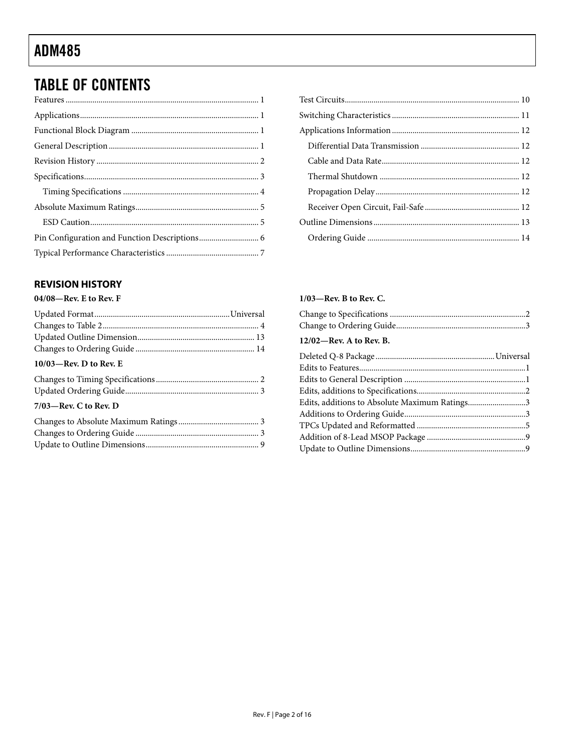## <span id="page-1-0"></span>**TABLE OF CONTENTS**

### 

#### **REVISION HISTORY**

#### 04/08-Rev. E to Rev. F

| $10/03$ —Rev. D to Rev. E |  |
|---------------------------|--|
|                           |  |
|                           |  |
| $7/03$ —Rev. C to Rev. D  |  |
|                           |  |
|                           |  |
|                           |  |
|                           |  |

#### $1/03$ -Rev. B to Rev. C.

| 12/02—Rev. A to Rev. B.                       |  |
|-----------------------------------------------|--|
|                                               |  |
|                                               |  |
|                                               |  |
|                                               |  |
| Edits, additions to Absolute Maximum Ratings3 |  |
|                                               |  |
|                                               |  |
|                                               |  |
|                                               |  |
|                                               |  |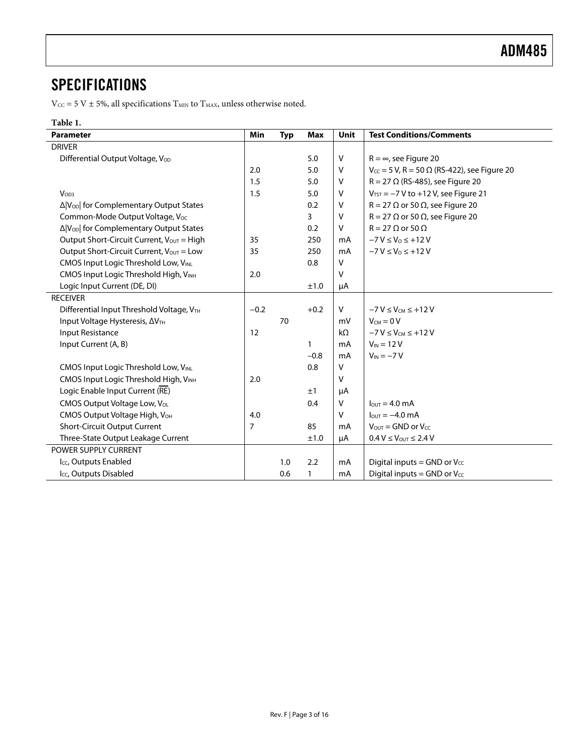### <span id="page-2-0"></span>**SPECIFICATIONS**

 $\rm V_{\rm CC}$  = 5 V  $\pm$  5%, all specifications  $\rm T_{\rm MIN}$  to  $\rm T_{\rm MAX}$  unless otherwise noted.

#### **Table 1.**

| <b>Parameter</b>                                    | Min    | <b>Typ</b> | <b>Max</b>   | <b>Unit</b> | <b>Test Conditions/Comments</b>                         |
|-----------------------------------------------------|--------|------------|--------------|-------------|---------------------------------------------------------|
| <b>DRIVER</b>                                       |        |            |              |             |                                                         |
| Differential Output Voltage, Vop                    |        |            | 5.0          | $\vee$      | $R = \infty$ , see Figure 20                            |
|                                                     | 2.0    |            | 5.0          | $\vee$      | $V_{CC}$ = 5 V, R = 50 $\Omega$ (RS-422), see Figure 20 |
|                                                     | 1.5    |            | 5.0          | $\vee$      | $R = 27 \Omega$ (RS-485), see Figure 20                 |
| V <sub>OD3</sub>                                    | 1.5    |            | 5.0          | $\vee$      | $V_{TST}$ = -7 V to +12 V, see Figure 21                |
| Δ V <sub>OD</sub>   for Complementary Output States |        |            | 0.2          | $\vee$      | $R = 27 \Omega$ or 50 $\Omega$ , see Figure 20          |
| Common-Mode Output Voltage, Voc                     |        |            | 3            | $\vee$      | $R = 27 \Omega$ or 50 $\Omega$ , see Figure 20          |
| Δ V <sub>OD</sub>   for Complementary Output States |        |            | 0.2          | $\vee$      | $R = 27 \Omega$ or 50 $\Omega$                          |
| Output Short-Circuit Current, $V_{OUT} = High$      | 35     |            | 250          | mA          | $-7 V \le V_0 \le +12 V$                                |
| Output Short-Circuit Current, Vout = Low            | 35     |            | 250          | mA          | $-7 V \le V_0 \le +12 V$                                |
| CMOS Input Logic Threshold Low, VINL                |        |            | 0.8          | v           |                                                         |
| CMOS Input Logic Threshold High, VINH               | 2.0    |            |              | v           |                                                         |
| Logic Input Current (DE, DI)                        |        |            | ±1.0         | μA          |                                                         |
| <b>RECEIVER</b>                                     |        |            |              |             |                                                         |
| Differential Input Threshold Voltage, VTH           | $-0.2$ |            | $+0.2$       | V           | $-7V \leq V_{CM} \leq +12V$                             |
| Input Voltage Hysteresis, AVTH                      |        | 70         |              | mV          | $V_{CM} = 0 V$                                          |
| Input Resistance                                    | 12     |            |              | $k\Omega$   | $-7V \leq V_{CM} \leq +12V$                             |
| Input Current (A, B)                                |        |            | 1            | mA          | $V_{IN}$ = 12 V                                         |
|                                                     |        |            | $-0.8$       | mA          | $V_{IN} = -7 V$                                         |
| CMOS Input Logic Threshold Low, VINL                |        |            | 0.8          | $\vee$      |                                                         |
| CMOS Input Logic Threshold High, VINH               | 2.0    |            |              | v           |                                                         |
| Logic Enable Input Current (RE)                     |        |            | ±1           | μA          |                                                         |
| CMOS Output Voltage Low, Vol.                       |        |            | 0.4          | $\vee$      | $l_{\text{OUT}} = 4.0 \text{ mA}$                       |
| CMOS Output Voltage High, V <sub>OH</sub>           | 4.0    |            |              | $\vee$      | $IOUT = -4.0 mA$                                        |
| Short-Circuit Output Current                        | 7      |            | 85           | mA          | $V_{\text{OUT}} =$ GND or $V_{\text{CC}}$               |
| Three-State Output Leakage Current                  |        |            | ±1.0         | μA          | $0.4 V \leq V_{\text{OUT}} \leq 2.4 V$                  |
| POWER SUPPLY CURRENT                                |        |            |              |             |                                                         |
| Icc, Outputs Enabled                                |        | 1.0        | 2.2          | mA          | Digital inputs = GND or $V_{CC}$                        |
| I <sub>CC</sub> , Outputs Disabled                  |        | 0.6        | $\mathbf{1}$ | mA          | Digital inputs = GND or $V_{CC}$                        |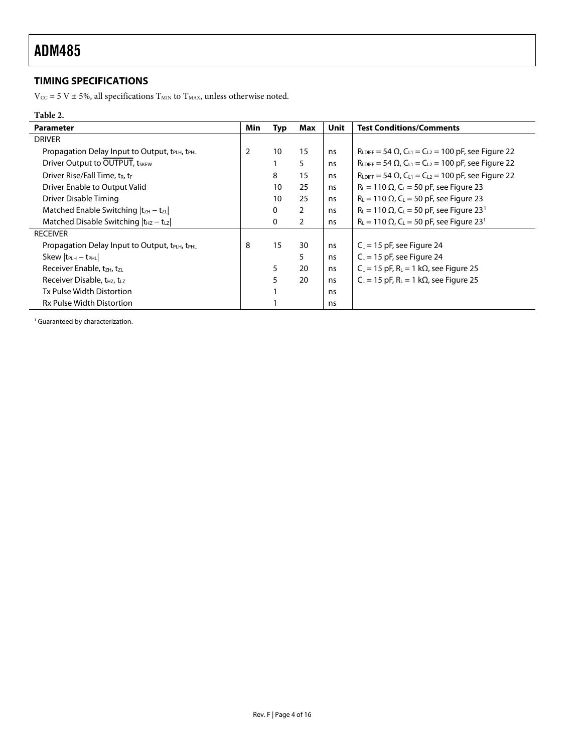### <span id="page-3-0"></span>**TIMING SPECIFICATIONS**

 $\rm V_{CC}$  = 5 V  $\pm$  5%, all specifications  $\rm T_{MIN}$  to  $\rm T_{MAX}$  unless otherwise noted.

#### **Table 2.**

<span id="page-3-1"></span>

| <b>Parameter</b>                                                       | <b>Min</b> | <b>Typ</b> | Max            | Unit | <b>Test Conditions/Comments</b>                                              |
|------------------------------------------------------------------------|------------|------------|----------------|------|------------------------------------------------------------------------------|
| <b>DRIVER</b>                                                          |            |            |                |      |                                                                              |
| Propagation Delay Input to Output, t <sub>PLH</sub> , t <sub>PHL</sub> | 2          | 10         | 15             | ns   | $R_{LDIFF} = 54 \Omega$ , $C_{L1} = C_{L2} = 100 \text{ pF}$ , see Figure 22 |
| Driver Output to OUTPUT, tSKEW                                         |            |            | 5              | ns   | $R_{LDIFF} = 54 \Omega$ , $C_{L1} = C_{L2} = 100 \text{ pF}$ , see Figure 22 |
| Driver Rise/Fall Time, t <sub>R</sub> , t <sub>F</sub>                 |            | 8          | 15             | ns   | $R_{LDIFF} = 54 \Omega$ , $C_{L1} = C_{L2} = 100 \text{ pF}$ , see Figure 22 |
| Driver Enable to Output Valid                                          |            | 10         | 25             | ns   | $R_{L} = 110 \Omega$ , C <sub>L</sub> = 50 pF, see Figure 23                 |
| Driver Disable Timing                                                  |            | 10         | 25             | ns   | $R_L$ = 110 $\Omega$ , C <sub>L</sub> = 50 pF, see Figure 23                 |
| Matched Enable Switching $ t_{ZH} - t_{ZL} $                           |            | 0          | $\overline{2}$ | ns   | $R_{L}$ = 110 $\Omega$ , C <sub>L</sub> = 50 pF, see Figure 23 <sup>1</sup>  |
| Matched Disable Switching $ t_{HZ} - t_{LZ} $                          |            | 0          | $\overline{2}$ | ns   | $R_L$ = 110 $\Omega$ , C <sub>L</sub> = 50 pF, see Figure 23 <sup>1</sup>    |
| <b>RECEIVER</b>                                                        |            |            |                |      |                                                                              |
| Propagation Delay Input to Output, tPLH, tPHL                          | 8          | 15         | 30             | ns   | $C_{L}$ = 15 pF, see Figure 24                                               |
| $Skew   t_{PLH} - t_{PHL}  $                                           |            |            | 5              | ns   | $C_{L}$ = 15 pF, see Figure 24                                               |
| Receiver Enable, t <sub>ZH</sub> , tzL                                 |            | 5          | 20             | ns   | $C_L = 15$ pF, $R_L = 1$ k $\Omega$ , see Figure 25                          |
| Receiver Disable, t <sub>HZ</sub> , t <sub>LZ</sub>                    |            | 5          | 20             | ns   | $C_L$ = 15 pF, R <sub>L</sub> = 1 k $\Omega$ , see Figure 25                 |
| Tx Pulse Width Distortion                                              |            |            |                | ns   |                                                                              |
| <b>Rx Pulse Width Distortion</b>                                       |            |            |                | ns   |                                                                              |

<sup>1</sup> Guaranteed by characterization.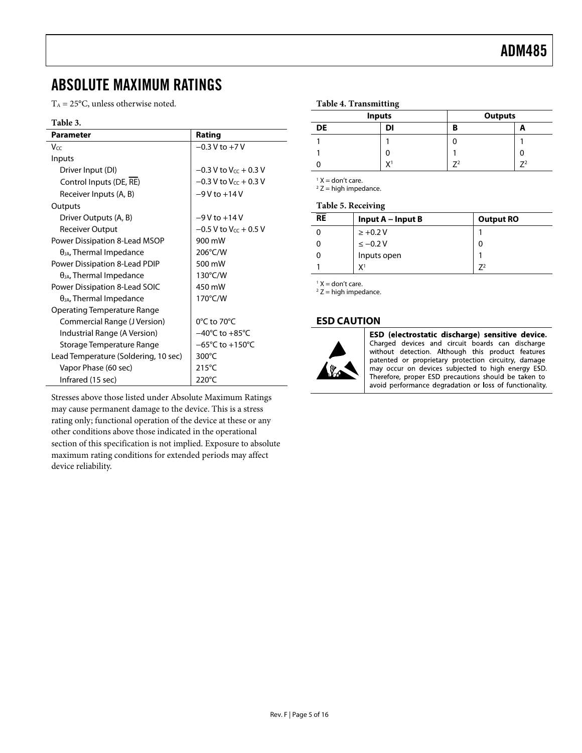### <span id="page-4-0"></span>ABSOLUTE MAXIMUM RATINGS

 $T_A = 25$ °C, unless otherwise noted.

#### **Table 3.**

| Parameter                                  | Rating                              |
|--------------------------------------------|-------------------------------------|
| Vcc                                        | $-0.3$ V to $+7$ V                  |
| Inputs                                     |                                     |
| Driver Input (DI)                          | $-0.3$ V to V $_{cc}$ + 0.3 V       |
| Control Inputs (DE, RE)                    | $-0.3$ V to V $cc + 0.3$ V          |
| Receiver Inputs (A, B)                     | $-9V$ to $+14V$                     |
| Outputs                                    |                                     |
| Driver Outputs (A, B)                      | $-9V$ to $+14V$                     |
| <b>Receiver Output</b>                     | $-0.5$ V to V $cc + 0.5$ V          |
| Power Dissipation 8-Lead MSOP              | 900 mW                              |
| $\theta_{JA}$ , Thermal Impedance          | 206°C/W                             |
| Power Dissipation 8-Lead PDIP              | 500 mW                              |
| $\theta$ <sub>JA</sub> , Thermal Impedance | 130°C/W                             |
| Power Dissipation 8-Lead SOIC              | 450 mW                              |
| $\theta_{JA}$ , Thermal Impedance          | 170°C/W                             |
| Operating Temperature Range                |                                     |
| Commercial Range (J Version)               | 0°C to 70°C                         |
| Industrial Range (A Version)               | $-40^{\circ}$ C to $+85^{\circ}$ C  |
| Storage Temperature Range                  | $-65^{\circ}$ C to $+150^{\circ}$ C |
| Lead Temperature (Soldering, 10 sec)       | 300 $\degree$ C                     |
| Vapor Phase (60 sec)                       | 215°C                               |
| Infrared (15 sec)                          | 220°C                               |

Stresses above those listed under Absolute Maximum Ratings may cause permanent damage to the device. This is a stress rating only; functional operation of the device at these or any other conditions above those indicated in the operational section of this specification is not implied. Exposure to absolute maximum rating conditions for extended periods may affect device reliability.

#### **Table 4. Transmitting**

|           | <b>Inputs</b>  | <b>Outputs</b> |    |  |
|-----------|----------------|----------------|----|--|
| <b>DE</b> | DI             | B              | ∽  |  |
|           |                |                |    |  |
|           |                |                |    |  |
|           | V <sub>1</sub> |                | 74 |  |

 $<sup>1</sup> X = don't care.$ </sup>

 $2 Z$  = high impedance.

#### **Table 5. Receiving**

| <b>RE</b> | Input $A$ – Input B | <b>Output RO</b> |
|-----------|---------------------|------------------|
|           | $\ge +0.2 V$        |                  |
|           | $\le -0.2 V$        | 0                |
|           | Inputs open         |                  |
|           | Y <sup>1</sup>      |                  |

 $<sup>1</sup> X = don't care.$ </sup>

 $2 Z$  = high impedance.

#### **ESD CAUTION**



ESD (electrostatic discharge) sensitive device. Charged devices and circuit boards can discharge without detection. Although this product features patented or proprietary protection circuitry, damage may occur on devices subjected to high energy ESD. Therefore, proper ESD precautions should be taken to avoid performance degradation or loss of functionality.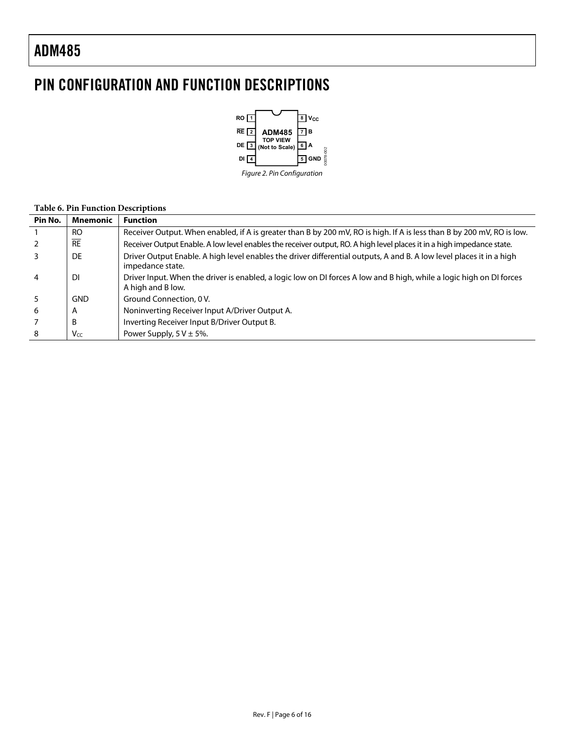## <span id="page-5-0"></span>PIN CONFIGURATION AND FUNCTION DESCRIPTIONS



#### **Table 6. Pin Function Descriptions**

| Pin No.        | <b>Mnemonic</b> | <b>Function</b>                                                                                                                           |
|----------------|-----------------|-------------------------------------------------------------------------------------------------------------------------------------------|
|                | <b>RO</b>       | Receiver Output. When enabled, if A is greater than B by 200 mV, RO is high. If A is less than B by 200 mV, RO is low.                    |
|                | $\overline{RE}$ | Receiver Output Enable. A low level enables the receiver output, RO. A high level places it in a high impedance state.                    |
|                | DE              | Driver Output Enable. A high level enables the driver differential outputs, A and B. A low level places it in a high<br>impedance state.  |
| $\overline{4}$ | DI              | Driver Input. When the driver is enabled, a logic low on DI forces A low and B high, while a logic high on DI forces<br>A high and B low. |
|                | <b>GND</b>      | Ground Connection, 0 V.                                                                                                                   |
| 6              | A               | Noninverting Receiver Input A/Driver Output A.                                                                                            |
|                | B               | Inverting Receiver Input B/Driver Output B.                                                                                               |
| 8              | Vcc             | Power Supply, $5 \text{ V} \pm 5\%$ .                                                                                                     |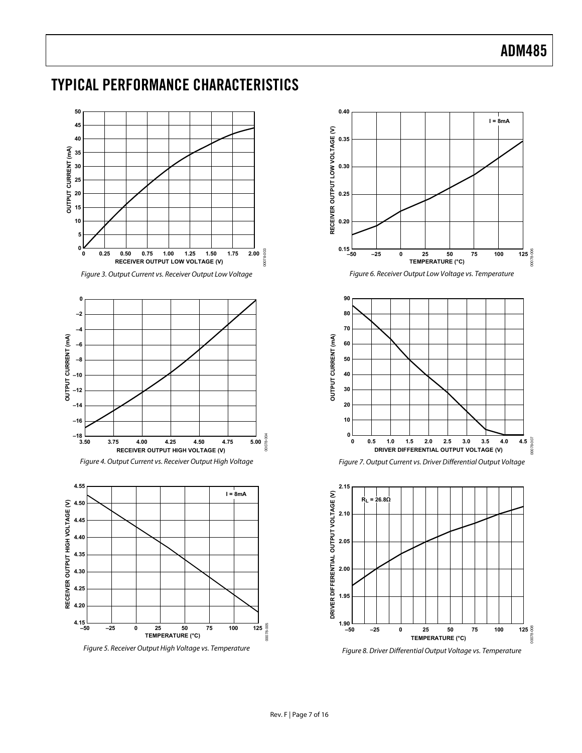### <span id="page-6-0"></span>TYPICAL PERFORMANCE CHARACTERISTICS



Figure 5. Receiver Output High Voltage vs. Temperature



Figure 8. Driver Differential Output Voltage vs. Temperature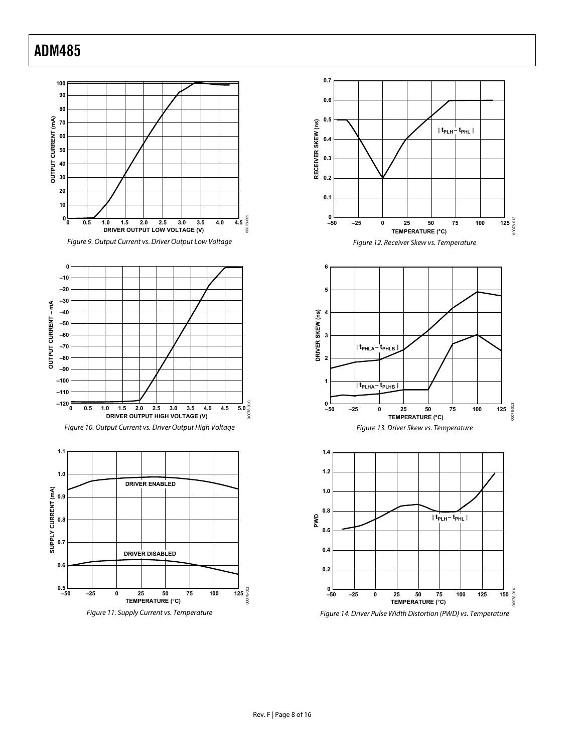

00078-012

00078-013

00078-013

00078-014

00078-014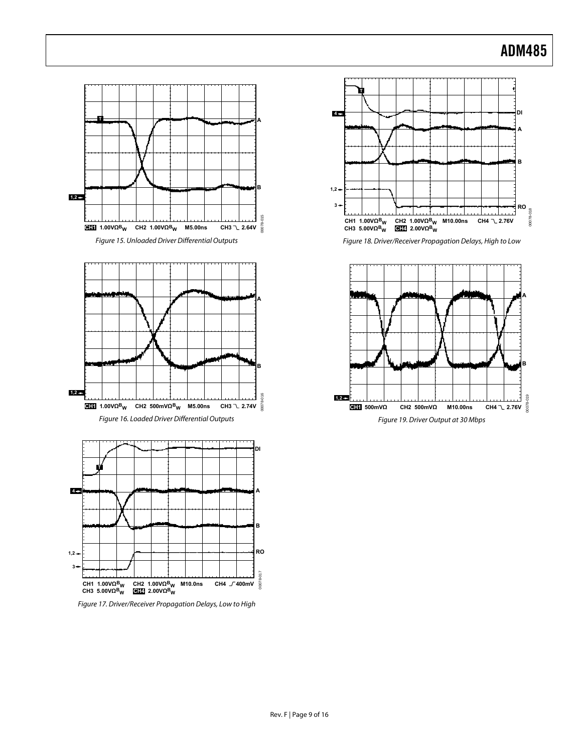00078-018

0078-018



Figure 17. Driver/Receiver Propagation Delays, Low to High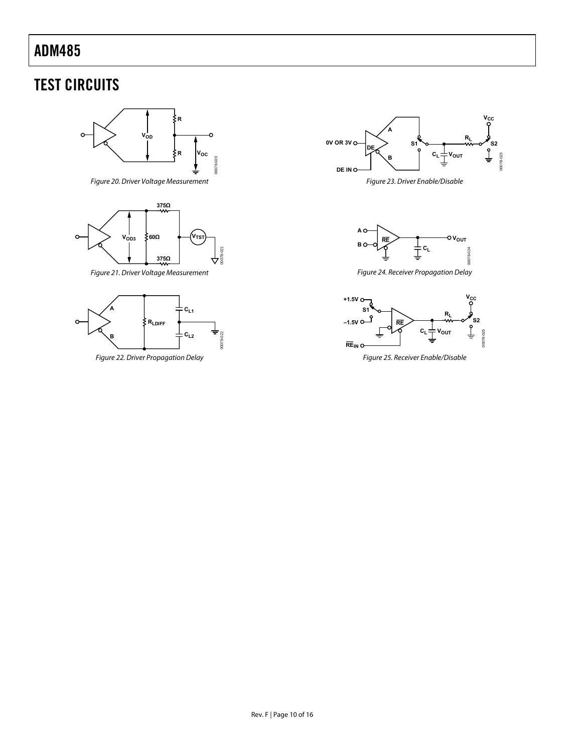## <span id="page-9-0"></span>TEST CIRCUITS



Figure 20. Driver Voltage Measurement

<span id="page-9-1"></span>

Figure 21. Driver Voltage Measurement

<span id="page-9-3"></span><span id="page-9-2"></span>



Figure 23. Driver Enable/Disable



Figure 24. Receiver Propagation Delay



Figure 25. Receiver Enable/Disable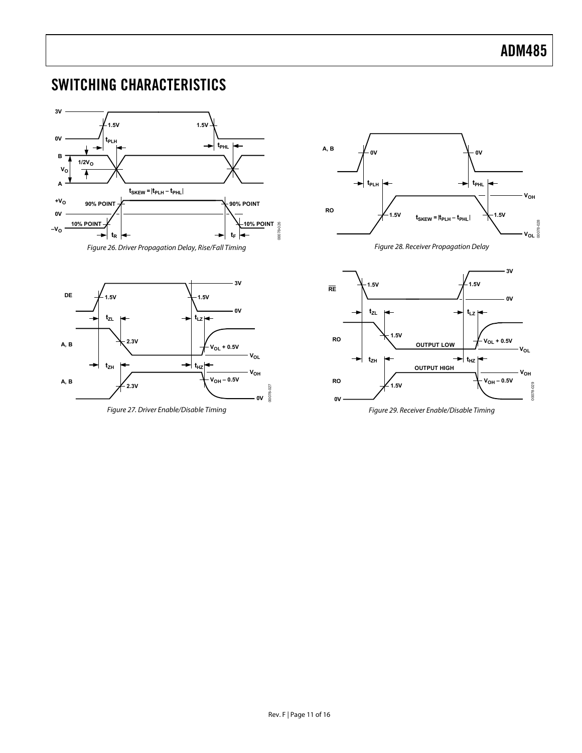## <span id="page-10-0"></span>SWITCHING CHARACTERISTICS













Figure 29. Receiver Enable/Disable Timing

00078-027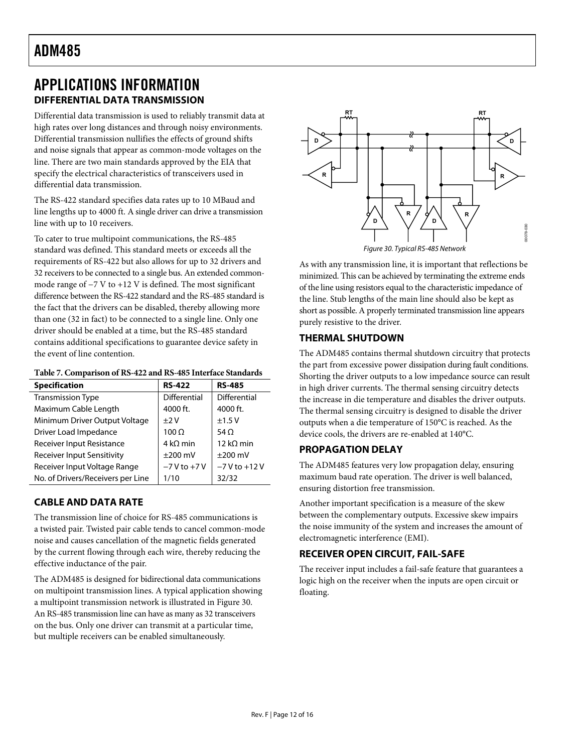### <span id="page-11-0"></span>APPLICATIONS INFORMATION **DIFFERENTIAL DATA TRANSMISSION**

Differential data transmission is used to reliably transmit data at high rates over long distances and through noisy environments. Differential transmission nullifies the effects of ground shifts and noise signals that appear as common-mode voltages on the line. There are two main standards approved by the EIA that specify the electrical characteristics of transceivers used in differential data transmission.

The RS-422 standard specifies data rates up to 10 MBaud and line lengths up to 4000 ft. A single driver can drive a transmission line with up to 10 receivers.

<span id="page-11-1"></span>To cater to true multipoint communications, the RS-485 standard was defined. This standard meets or exceeds all the requirements of RS-422 but also allows for up to 32 drivers and 32 receivers to be connected to a single bus. An extended commonmode range of −7 V to +12 V is defined. The most significant difference between the RS-422 standard and the RS-485 standard is the fact that the drivers can be disabled, thereby allowing more than one (32 in fact) to be connected to a single line. Only one driver should be enabled at a time, but the RS-485 standard contains additional specifications to guarantee device safety in the event of line contention.

| Table 7. Comparison of RS-422 and RS-485 Interface Standards |
|--------------------------------------------------------------|
|--------------------------------------------------------------|

| <b>Specification</b>              | <b>RS-422</b>   | <b>RS-485</b>       |
|-----------------------------------|-----------------|---------------------|
| <b>Transmission Type</b>          | Differential    | <b>Differential</b> |
| Maximum Cable Length              | 4000 ft.        | 4000 ft.            |
| Minimum Driver Output Voltage     | $+2V$           | ±1.5V               |
| Driver Load Impedance             | $100 \Omega$    | 54 $\Omega$         |
| <b>Receiver Input Resistance</b>  | $4 k\Omega$ min | 12 k $\Omega$ min   |
| <b>Receiver Input Sensitivity</b> | $\pm 200$ mV    | $\pm 200$ mV        |
| Receiver Input Voltage Range      | $-7V$ to $+7V$  | $-7V$ to $+12V$     |
| No. of Drivers/Receivers per Line | 1/10            | 32/32               |

### **CABLE AND DATA RATE**

The transmission line of choice for RS-485 communications is a twisted pair. Twisted pair cable tends to cancel common-mode noise and causes cancellation of the magnetic fields generated by the current flowing through each wire, thereby reducing the effective inductance of the pair.

The ADM485 is designed for bidirectional data communications on multipoint transmission lines. A typical application showing a multipoint transmission network is illustrated in [Figure 30](#page-11-1). An RS-485 transmission line can have as many as 32 transceivers on the bus. Only one driver can transmit at a particular time, but multiple receivers can be enabled simultaneously.



As with any transmission line, it is important that reflections be minimized. This can be achieved by terminating the extreme ends of the line using resistors equal to the characteristic impedance of the line. Stub lengths of the main line should also be kept as short as possible. A properly terminated transmission line appears purely resistive to the driver.

### **THERMAL SHUTDOWN**

The ADM485 contains thermal shutdown circuitry that protects the part from excessive power dissipation during fault conditions. Shorting the driver outputs to a low impedance source can result in high driver currents. The thermal sensing circuitry detects the increase in die temperature and disables the driver outputs. The thermal sensing circuitry is designed to disable the driver outputs when a die temperature of 150°C is reached. As the device cools, the drivers are re-enabled at 140°C.

#### **PROPAGATION DELAY**

The ADM485 features very low propagation delay, ensuring maximum baud rate operation. The driver is well balanced, ensuring distortion free transmission.

Another important specification is a measure of the skew between the complementary outputs. Excessive skew impairs the noise immunity of the system and increases the amount of electromagnetic interference (EMI).

### **RECEIVER OPEN CIRCUIT, FAIL-SAFE**

The receiver input includes a fail-safe feature that guarantees a logic high on the receiver when the inputs are open circuit or floating.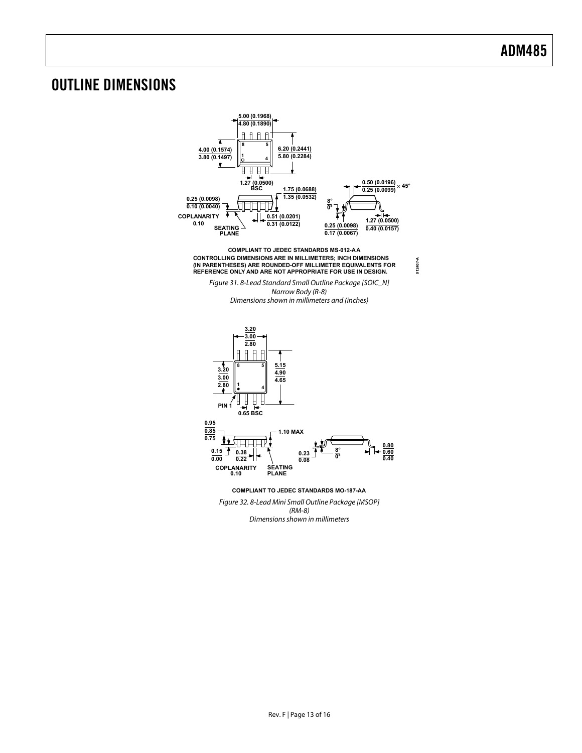### <span id="page-12-0"></span>OUTLINE DIMENSIONS



**012407-A**

(RM-8) Dimensions shown in millimeters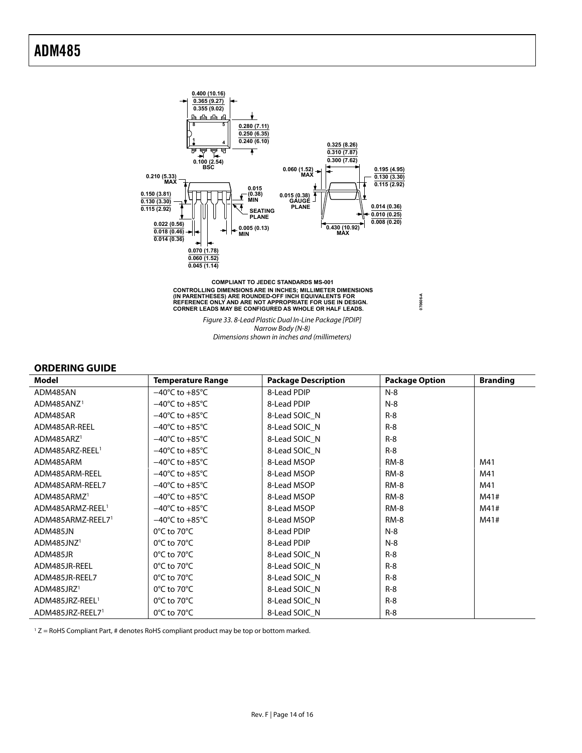<span id="page-13-0"></span>

CONTROLLING DIMENSIONS ARE IN INCHES; MILLIMETER DIMENSIONS<br>(IN PARENTHESES) ARE ROUNDED-OFF INCH EQUIVALENTS FOR<br>REFERENCE ONLY AND ARE NOT APPROPRIATE FOR USE IN DESIGN.<br>CORNER LEADS MAY BE CONFIGURED AS WHOLE OR HALF LE

Figure 33. 8-Lead Plastic Dual In-Line Package [PDIP] Narrow Body (N-8) Dimensions shown in inches and (millimeters)

**070606-A**

#### **ORDERING GUIDE**

<span id="page-13-1"></span>

| Model                        | <b>Temperature Range</b>           | <b>Package Description</b> | <b>Package Option</b> | <b>Branding</b> |
|------------------------------|------------------------------------|----------------------------|-----------------------|-----------------|
| ADM485AN                     | $-40^{\circ}$ C to $+85^{\circ}$ C | 8-Lead PDIP                | $N-8$                 |                 |
| ADM485ANZ <sup>1</sup>       | $-40^{\circ}$ C to $+85^{\circ}$ C | 8-Lead PDIP                | $N-8$                 |                 |
| ADM485AR                     | $-40^{\circ}$ C to $+85^{\circ}$ C | 8-Lead SOIC_N              | $R-8$                 |                 |
| ADM485AR-REEL                | $-40^{\circ}$ C to $+85^{\circ}$ C | 8-Lead SOIC N              | $R-8$                 |                 |
| ADM485ARZ <sup>1</sup>       | $-40^{\circ}$ C to $+85^{\circ}$ C | 8-Lead SOIC N              | $R-8$                 |                 |
| ADM485ARZ-REEL <sup>1</sup>  | $-40^{\circ}$ C to $+85^{\circ}$ C | 8-Lead SOIC N              | $R-8$                 |                 |
| ADM485ARM                    | $-40^{\circ}$ C to $+85^{\circ}$ C | 8-Lead MSOP                | RM-8                  | M41             |
| ADM485ARM-REEL               | $-40^{\circ}$ C to $+85^{\circ}$ C | 8-Lead MSOP                | RM-8                  | M41             |
| ADM485ARM-REEL7              | $-40^{\circ}$ C to $+85^{\circ}$ C | 8-Lead MSOP                | <b>RM-8</b>           | M41             |
| ADM485ARMZ <sup>1</sup>      | $-40^{\circ}$ C to $+85^{\circ}$ C | 8-Lead MSOP                | <b>RM-8</b>           | M41#            |
| ADM485ARMZ-REEL <sup>1</sup> | $-40^{\circ}$ C to $+85^{\circ}$ C | 8-Lead MSOP                | <b>RM-8</b>           | M41#            |
| ADM485ARMZ-REEL71            | $-40^{\circ}$ C to $+85^{\circ}$ C | 8-Lead MSOP                | RM-8                  | M41#            |
| ADM485JN                     | $0^{\circ}$ C to 70 $^{\circ}$ C   | 8-Lead PDIP                | $N-8$                 |                 |
| ADM485JNZ <sup>1</sup>       | $0^{\circ}$ C to 70 $^{\circ}$ C   | 8-Lead PDIP                | $N-8$                 |                 |
| ADM485JR                     | $0^{\circ}$ C to 70 $^{\circ}$ C   | 8-Lead SOIC_N              | $R-8$                 |                 |
| ADM485JR-REEL                | $0^{\circ}$ C to 70 $^{\circ}$ C   | 8-Lead SOIC N              | $R-8$                 |                 |
| ADM485JR-REEL7               | $0^{\circ}$ C to 70 $^{\circ}$ C   | 8-Lead SOIC N              | $R-8$                 |                 |
| ADM485JRZ <sup>1</sup>       | $0^{\circ}$ C to 70 $^{\circ}$ C   | 8-Lead SOIC N              | $R-8$                 |                 |
| ADM485JRZ-REEL <sup>1</sup>  | $0^{\circ}$ C to 70 $^{\circ}$ C   | 8-Lead SOIC_N              | $R-8$                 |                 |
| ADM485JRZ-REEL71             | $0^{\circ}$ C to 70 $^{\circ}$ C   | 8-Lead SOIC N              | $R-8$                 |                 |

<sup>1</sup> Z = RoHS Compliant Part, # denotes RoHS compliant product may be top or bottom marked.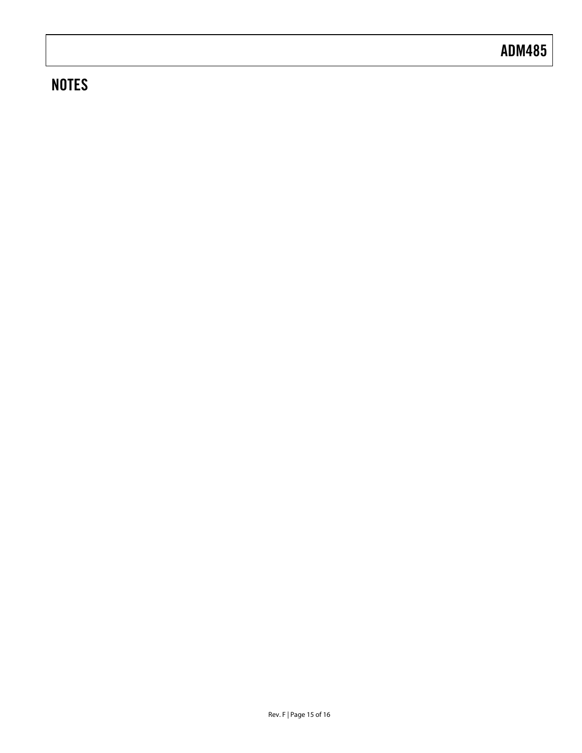## **NOTES**